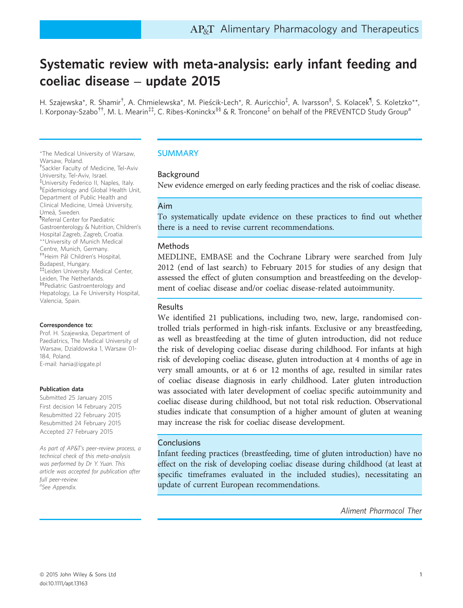# Systematic review with meta-analysis: early infant feeding and coeliac disease – update 2015

H. Szajewska\*, R. Shamir<sup>†</sup>, A. Chmielewska\*, M. Pieścik-Lech\*, R. Auricchio<sup>‡</sup>, A. Ivarsson<sup>§</sup>, S. Kolacek<sup>¶</sup>, S. Koletzko\*\*, I. Korponay-Szabo<sup>††</sup>, M. L. Mearin<sup>‡‡</sup>, C. Ribes-Koninckx<sup>§§</sup> & R. Troncone<sup>‡</sup> on behalf of the PREVENTCD Study Group<sup>a</sup>

\*The Medical University of Warsaw, Warsaw, Poland.

† Sackler Faculty of Medicine, Tel-Aviv University, Tel-Aviv, Israel. ‡ University Federico II, Naples, Italy. § Epidemiology and Global Health Unit, Department of Public Health and Clinical Medicine, Umeå University, Umeå, Sweden. ¶ Referral Center for Paediatric Gastroenterology & Nutrition, Children's Hospital Zagreb, Zagreb, Croatia. \*\*University of Munich Medical Centre, Munich, Germany. ††Heim Pal Children's Hospital, Budapest, Hungary. ‡‡Leiden University Medical Center, Leiden, The Netherlands. §§Pediatric Gastroenterology and Hepatology, La Fe University Hospital, Valencia, Spain.

#### Correspondence to:

Prof. H. Szajewska, Department of Paediatrics, The Medical University of Warsaw, Dzialdowska 1, Warsaw 01- 184, Poland. E-mail: hania@ipgate.pl

#### Publication data

Submitted 25 January 2015 First decision 14 February 2015 Resubmitted 22 February 2015 Resubmitted 24 February 2015 Accepted 27 February 2015

As part of AP&T's peer-review process, a technical check of this meta-analysis was performed by Dr Y. Yuan. This article was accepted for publication after full peer-review. <sub>a</sub><br>See Appendix.

### SUMMARY

### Background

New evidence emerged on early feeding practices and the risk of coeliac disease.

### Aim

To systematically update evidence on these practices to find out whether there is a need to revise current recommendations.

#### Methods

MEDLINE, EMBASE and the Cochrane Library were searched from July 2012 (end of last search) to February 2015 for studies of any design that assessed the effect of gluten consumption and breastfeeding on the development of coeliac disease and/or coeliac disease-related autoimmunity.

### Results

We identified 21 publications, including two, new, large, randomised controlled trials performed in high-risk infants. Exclusive or any breastfeeding, as well as breastfeeding at the time of gluten introduction, did not reduce the risk of developing coeliac disease during childhood. For infants at high risk of developing coeliac disease, gluten introduction at 4 months of age in very small amounts, or at 6 or 12 months of age, resulted in similar rates of coeliac disease diagnosis in early childhood. Later gluten introduction was associated with later development of coeliac specific autoimmunity and coeliac disease during childhood, but not total risk reduction. Observational studies indicate that consumption of a higher amount of gluten at weaning may increase the risk for coeliac disease development.

### **Conclusions**

Infant feeding practices (breastfeeding, time of gluten introduction) have no effect on the risk of developing coeliac disease during childhood (at least at specific timeframes evaluated in the included studies), necessitating an update of current European recommendations.

Aliment Pharmacol Ther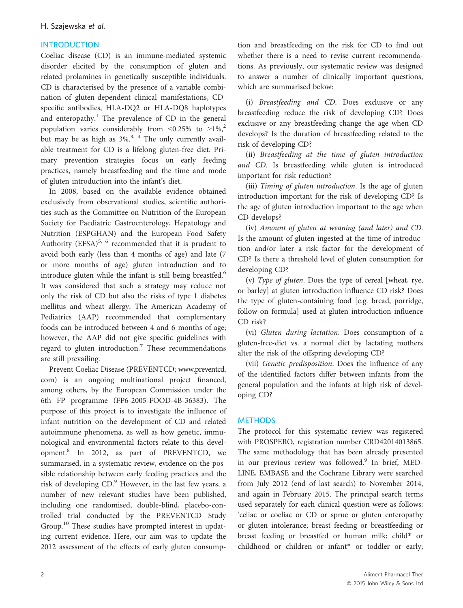### H. Szajewska et al.

### **INTRODUCTION**

Coeliac disease (CD) is an immune-mediated systemic disorder elicited by the consumption of gluten and related prolamines in genetically susceptible individuals. CD is characterised by the presence of a variable combination of gluten-dependent clinical manifestations, CDspecific antibodies, HLA-DQ2 or HLA-DQ8 haplotypes and enteropathy.<sup>1</sup> The prevalence of CD in the general population varies considerably from  $\leq 0.25\%$  to  $\geq 1\%$ ,<sup>2</sup> but may be as high as  $3\%$ .<sup>3, 4</sup> The only currently available treatment for CD is a lifelong gluten-free diet. Primary prevention strategies focus on early feeding practices, namely breastfeeding and the time and mode of gluten introduction into the infant's diet.

In 2008, based on the available evidence obtained exclusively from observational studies, scientific authorities such as the Committee on Nutrition of the European Society for Paediatric Gastroenterology, Hepatology and Nutrition (ESPGHAN) and the European Food Safety Authority (EFSA) $5, 6$  recommended that it is prudent to avoid both early (less than 4 months of age) and late (7 or more months of age) gluten introduction and to introduce gluten while the infant is still being breastfed.<sup>6</sup> It was considered that such a strategy may reduce not only the risk of CD but also the risks of type 1 diabetes mellitus and wheat allergy. The American Academy of Pediatrics (AAP) recommended that complementary foods can be introduced between 4 and 6 months of age; however, the AAP did not give specific guidelines with regard to gluten introduction.<sup>7</sup> These recommendations are still prevailing.

Prevent Coeliac Disease (PREVENTCD; [www.preventcd.](http://www.preventcd.com) [com](http://www.preventcd.com)) is an ongoing multinational project financed, among others, by the European Commission under the 6th FP programme (FP6-2005-FOOD-4B-36383). The purpose of this project is to investigate the influence of infant nutrition on the development of CD and related autoimmune phenomena, as well as how genetic, immunological and environmental factors relate to this development.<sup>8</sup> In 2012, as part of PREVENTCD, we summarised, in a systematic review, evidence on the possible relationship between early feeding practices and the risk of developing CD.<sup>9</sup> However, in the last few years, a number of new relevant studies have been published, including one randomised, double-blind, placebo-controlled trial conducted by the PREVENTCD Study Group.<sup>10</sup> These studies have prompted interest in updating current evidence. Here, our aim was to update the 2012 assessment of the effects of early gluten consumption and breastfeeding on the risk for CD to find out whether there is a need to revise current recommendations. As previously, our systematic review was designed to answer a number of clinically important questions, which are summarised below:

(i) Breastfeeding and CD. Does exclusive or any breastfeeding reduce the risk of developing CD? Does exclusive or any breastfeeding change the age when CD develops? Is the duration of breastfeeding related to the risk of developing CD?

(ii) Breastfeeding at the time of gluten introduction and CD. Is breastfeeding while gluten is introduced important for risk reduction?

(iii) Timing of gluten introduction. Is the age of gluten introduction important for the risk of developing CD? Is the age of gluten introduction important to the age when CD develops?

(iv) Amount of gluten at weaning (and later) and CD. Is the amount of gluten ingested at the time of introduction and/or later a risk factor for the development of CD? Is there a threshold level of gluten consumption for developing CD?

(v) Type of gluten. Does the type of cereal [wheat, rye, or barley] at gluten introduction influence CD risk? Does the type of gluten-containing food [e.g. bread, porridge, follow-on formula] used at gluten introduction influence CD risk?

(vi) Gluten during lactation. Does consumption of a gluten-free-diet vs. a normal diet by lactating mothers alter the risk of the offspring developing CD?

(vii) Genetic predisposition. Does the influence of any of the identified factors differ between infants from the general population and the infants at high risk of developing CD?

## **METHODS**

The protocol for this systematic review was registered with PROSPERO, registration number CRD42014013865. The same methodology that has been already presented in our previous review was followed.<sup>9</sup> In brief, MED-LINE, EMBASE and the Cochrane Library were searched from July 2012 (end of last search) to November 2014, and again in February 2015. The principal search terms used separately for each clinical question were as follows: 'celiac or coeliac or CD or sprue or gluten enteropathy or gluten intolerance; breast feeding or breastfeeding or breast feeding or breastfed or human milk; child\* or childhood or children or infant\* or toddler or early;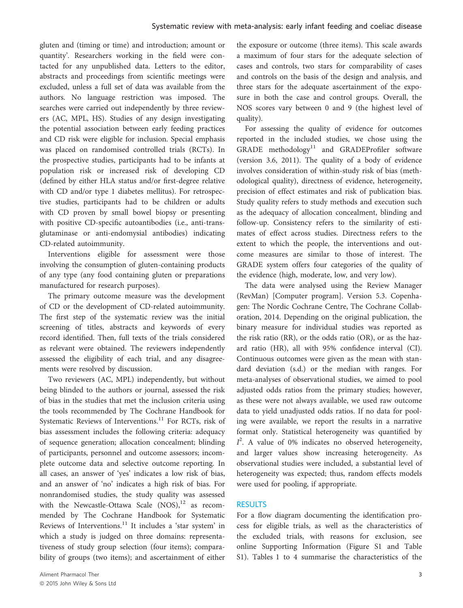gluten and (timing or time) and introduction; amount or quantity'. Researchers working in the field were contacted for any unpublished data. Letters to the editor, abstracts and proceedings from scientific meetings were excluded, unless a full set of data was available from the authors. No language restriction was imposed. The searches were carried out independently by three reviewers (AC, MPL, HS). Studies of any design investigating the potential association between early feeding practices and CD risk were eligible for inclusion. Special emphasis was placed on randomised controlled trials (RCTs). In the prospective studies, participants had to be infants at population risk or increased risk of developing CD (defined by either HLA status and/or first-degree relative with CD and/or type 1 diabetes mellitus). For retrospective studies, participants had to be children or adults with CD proven by small bowel biopsy or presenting with positive CD-specific autoantibodies (i.e., anti-transglutaminase or anti-endomysial antibodies) indicating CD-related autoimmunity.

Interventions eligible for assessment were those involving the consumption of gluten-containing products of any type (any food containing gluten or preparations manufactured for research purposes).

The primary outcome measure was the development of CD or the development of CD-related autoimmunity. The first step of the systematic review was the initial screening of titles, abstracts and keywords of every record identified. Then, full texts of the trials considered as relevant were obtained. The reviewers independently assessed the eligibility of each trial, and any disagreements were resolved by discussion.

Two reviewers (AC, MPL) independently, but without being blinded to the authors or journal, assessed the risk of bias in the studies that met the inclusion criteria using the tools recommended by The Cochrane Handbook for Systematic Reviews of Interventions. $^{11}$  For RCTs, risk of bias assessment includes the following criteria: adequacy of sequence generation; allocation concealment; blinding of participants, personnel and outcome assessors; incomplete outcome data and selective outcome reporting. In all cases, an answer of 'yes' indicates a low risk of bias, and an answer of 'no' indicates a high risk of bias. For nonrandomised studies, the study quality was assessed with the Newcastle-Ottawa Scale  $(NOS)^{12}$  as recommended by The Cochrane Handbook for Systematic Reviews of Interventions.<sup>11</sup> It includes a 'star system' in which a study is judged on three domains: representativeness of study group selection (four items); comparability of groups (two items); and ascertainment of either

the exposure or outcome (three items). This scale awards a maximum of four stars for the adequate selection of cases and controls, two stars for comparability of cases and controls on the basis of the design and analysis, and three stars for the adequate ascertainment of the exposure in both the case and control groups. Overall, the NOS scores vary between 0 and 9 (the highest level of quality).

For assessing the quality of evidence for outcomes reported in the included studies, we chose using the GRADE methodology<sup>11</sup> and GRADEProfiler software (version 3.6, 2011). The quality of a body of evidence involves consideration of within-study risk of bias (methodological quality), directness of evidence, heterogeneity, precision of effect estimates and risk of publication bias. Study quality refers to study methods and execution such as the adequacy of allocation concealment, blinding and follow-up. Consistency refers to the similarity of estimates of effect across studies. Directness refers to the extent to which the people, the interventions and outcome measures are similar to those of interest. The GRADE system offers four categories of the quality of the evidence (high, moderate, low, and very low).

The data were analysed using the Review Manager (RevMan) [Computer program]. Version 5.3. Copenhagen: The Nordic Cochrane Centre, The Cochrane Collaboration, 2014. Depending on the original publication, the binary measure for individual studies was reported as the risk ratio (RR), or the odds ratio (OR), or as the hazard ratio (HR), all with 95% confidence interval (CI). Continuous outcomes were given as the mean with standard deviation (s.d.) or the median with ranges. For meta-analyses of observational studies, we aimed to pool adjusted odds ratios from the primary studies; however, as these were not always available, we used raw outcome data to yield unadjusted odds ratios. If no data for pooling were available, we report the results in a narrative format only. Statistical heterogeneity was quantified by  $I^2$ . A value of 0% indicates no observed heterogeneity, and larger values show increasing heterogeneity. As observational studies were included, a substantial level of heterogeneity was expected; thus, random effects models were used for pooling, if appropriate.

### RESULTS

For a flow diagram documenting the identification process for eligible trials, as well as the characteristics of the excluded trials, with reasons for exclusion, see online Supporting Information (Figure S1 and Table S1). Tables 1 to 4 summarise the characteristics of the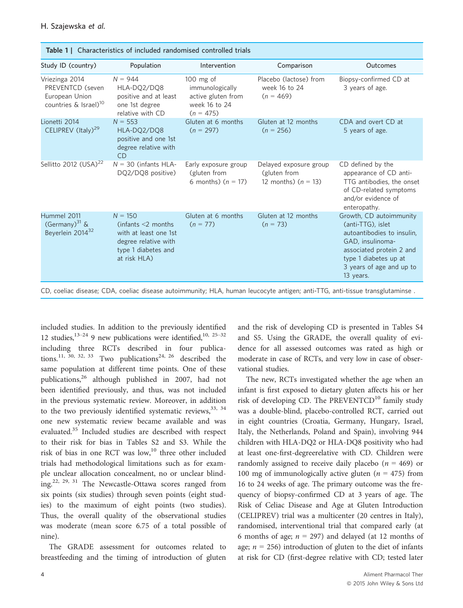| <b>Table 1</b>   Characteristics of included randomised controlled trials                 |                                                                                                                           |                                                                                      |                                                                 |                                                                                                                                                                                              |  |  |  |  |
|-------------------------------------------------------------------------------------------|---------------------------------------------------------------------------------------------------------------------------|--------------------------------------------------------------------------------------|-----------------------------------------------------------------|----------------------------------------------------------------------------------------------------------------------------------------------------------------------------------------------|--|--|--|--|
| Study ID (country)                                                                        | Population                                                                                                                | Intervention                                                                         | Comparison                                                      | Outcomes                                                                                                                                                                                     |  |  |  |  |
| Vriezinga 2014<br>PREVENTCD (seven<br>European Union<br>countries & Israel) <sup>10</sup> | $N = 944$<br>HLA-DQ2/DQ8<br>positive and at least<br>one 1st degree<br>relative with CD                                   | $100$ mg of<br>immunologically<br>active gluten from<br>week 16 to 24<br>$(n = 475)$ | Placebo (lactose) from<br>week 16 to 24<br>$(n = 469)$          | Biopsy-confirmed CD at<br>3 years of age.                                                                                                                                                    |  |  |  |  |
| Lionetti 2014<br>CELIPREV (Italy) <sup>29</sup>                                           | $N = 553$<br>HLA-DQ2/DQ8<br>positive and one 1st<br>degree relative with<br><b>CD</b>                                     | Gluten at 6 months<br>$(n = 297)$                                                    | Gluten at 12 months<br>$(n = 256)$                              | CDA and overt CD at<br>5 years of age.                                                                                                                                                       |  |  |  |  |
| Sellitto 2012 (USA) <sup>22</sup>                                                         | $N = 30$ (infants HLA-<br>DQ2/DQ8 positive)                                                                               | Early exposure group<br>(gluten from<br>6 months) $(n = 17)$                         | Delayed exposure group<br>(gluten from<br>12 months) $(n = 13)$ | CD defined by the<br>appearance of CD anti-<br>TTG antibodies, the onset<br>of CD-related symptoms<br>and/or evidence of<br>enteropathy.                                                     |  |  |  |  |
| Hummel 2011<br>(Germany) $31$ &<br>Beyerlein 2014 <sup>32</sup>                           | $N = 150$<br>(infants < 2 months)<br>with at least one 1st<br>degree relative with<br>type 1 diabetes and<br>at risk HLA) | Gluten at 6 months<br>$(n = 77)$                                                     | Gluten at 12 months<br>$(n = 73)$                               | Growth, CD autoimmunity<br>(anti-TTG), islet<br>autoantibodies to insulin,<br>GAD, insulinoma-<br>associated protein 2 and<br>type 1 diabetes up at<br>3 years of age and up to<br>13 years. |  |  |  |  |

CD, coeliac disease; CDA, coeliac disease autoimmunity; HLA, human leucocyte antigen; anti-TTG, anti-tissue transglutaminse .

included studies. In addition to the previously identified 12 studies, $13-24$  9 new publications were identified, $10, 25-32$ including three RCTs described in four publications.<sup>11, 30, 32, 33</sup> Two publications<sup>24, 26</sup> described the same population at different time points. One of these publications,<sup>26</sup> although published in 2007, had not been identified previously, and thus, was not included in the previous systematic review. Moreover, in addition to the two previously identified systematic reviews,  $33, 34$ one new systematic review became available and was evaluated.<sup>35</sup> Included studies are described with respect to their risk for bias in Tables S2 and S3. While the risk of bias in one RCT was  $low<sub>10</sub><sup>10</sup>$  three other included trials had methodological limitations such as for example unclear allocation concealment, no or unclear blinding.<sup>22, 29, 31</sup> The Newcastle-Ottawa scores ranged from six points (six studies) through seven points (eight studies) to the maximum of eight points (two studies). Thus, the overall quality of the observational studies was moderate (mean score 6.75 of a total possible of nine).

The GRADE assessment for outcomes related to breastfeeding and the timing of introduction of gluten and the risk of developing CD is presented in Tables S4 and S5. Using the GRADE, the overall quality of evidence for all assessed outcomes was rated as high or moderate in case of RCTs, and very low in case of observational studies.

The new, RCTs investigated whether the age when an infant is first exposed to dietary gluten affects his or her risk of developing CD. The PREVENTCD<sup>10</sup> family study was a double-blind, placebo-controlled RCT, carried out in eight countries (Croatia, Germany, Hungary, Israel, Italy, the Netherlands, Poland and Spain), involving 944 children with HLA-DQ2 or HLA-DQ8 positivity who had at least one-first-degreerelative with CD. Children were randomly assigned to receive daily placebo ( $n = 469$ ) or 100 mg of immunologically active gluten ( $n = 475$ ) from 16 to 24 weeks of age. The primary outcome was the frequency of biopsy-confirmed CD at 3 years of age. The Risk of Celiac Disease and Age at Gluten Introduction (CELIPREV) trial was a multicenter (20 centres in Italy), randomised, interventional trial that compared early (at 6 months of age;  $n = 297$ ) and delayed (at 12 months of age;  $n = 256$ ) introduction of gluten to the diet of infants at risk for CD (first-degree relative with CD; tested later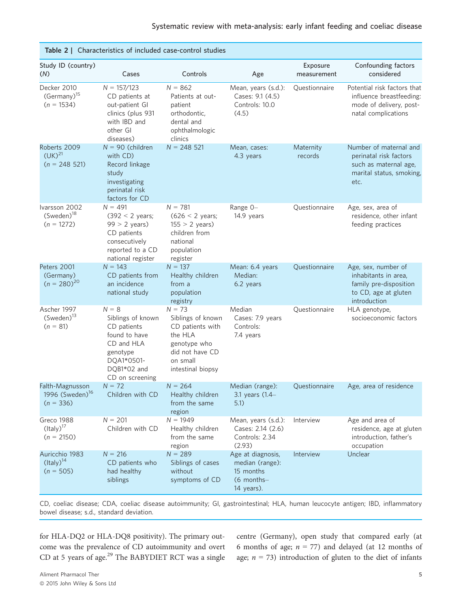|                                                               | Table 2   Characteristics of included case-control studies                                                                             |                                                                                                                                  |                                                                               |                         |                                                                                                               |
|---------------------------------------------------------------|----------------------------------------------------------------------------------------------------------------------------------------|----------------------------------------------------------------------------------------------------------------------------------|-------------------------------------------------------------------------------|-------------------------|---------------------------------------------------------------------------------------------------------------|
| Study ID (country)<br>(N)                                     | Cases                                                                                                                                  | Controls                                                                                                                         | Age                                                                           | Exposure<br>measurement | Confounding factors<br>considered                                                                             |
| Decker 2010<br>$(Germany)^{15}$<br>$(n = 1534)$               | $N = 157/123$<br>CD patients at<br>out-patient GI<br>clinics (plus 931<br>with IBD and<br>other GI<br>diseases)                        | $N = 862$<br>Patients at out-<br>patient<br>orthodontic,<br>dental and<br>ophthalmologic<br>clinics                              | Mean, years (s.d.):<br>Cases: 9.1 (4.5)<br>Controls: 10.0<br>(4.5)            | Questionnaire           | Potential risk factors that<br>influence breastfeeding:<br>mode of delivery, post-<br>natal complications     |
| Roberts 2009<br>$(UK)^{21}$<br>$(n = 248521)$                 | $N = 90$ (children<br>with CD)<br>Record linkage<br>study<br>investigating<br>perinatal risk<br>factors for CD                         | $N = 248521$                                                                                                                     | Mean, cases:<br>4.3 years                                                     | Maternity<br>records    | Number of maternal and<br>perinatal risk factors<br>such as maternal age,<br>marital status, smoking,<br>etc. |
| Ivarsson 2002<br>$(Sweden)^{18}$<br>$(n = 1272)$              | $N = 491$<br>$(392 < 2$ years;<br>$99 > 2$ years)<br>CD patients<br>consecutively<br>reported to a CD<br>national register             | $N = 781$<br>$(626 < 2 \text{ years})$<br>$155 > 2$ years)<br>children from<br>national<br>population<br>register                | Range 0-<br>14.9 years                                                        | Questionnaire           | Age, sex, area of<br>residence, other infant<br>feeding practices                                             |
| Peters 2001<br>(Germany)<br>$(n = 280)^{20}$                  | $N = 143$<br>CD patients from<br>an incidence<br>national study                                                                        | $N = 137$<br>Healthy children<br>from a<br>population<br>registry                                                                | Mean: 6.4 years<br>Median:<br>6.2 years                                       | Questionnaire           | Age, sex, number of<br>inhabitants in area,<br>family pre-disposition<br>to CD, age at gluten<br>introduction |
| Ascher 1997<br>$(Sweden)^{13}$<br>$(n = 81)$                  | $N = 8$<br>Siblings of known<br>CD patients<br>found to have<br>CD and HLA<br>genotype<br>DQA1*0501-<br>DQB1*02 and<br>CD on screening | $N = 73$<br>Siblings of known<br>CD patients with<br>the HLA<br>genotype who<br>did not have CD<br>on small<br>intestinal biopsy | Median<br>Cases: 7.9 years<br>Controls:<br>7.4 years                          | Questionnaire           | HLA genotype,<br>socioeconomic factors                                                                        |
| Falth-Magnusson<br>1996 (Sweden) <sup>16</sup><br>$(n = 336)$ | $N = 72$<br>Children with CD                                                                                                           | $N = 264$<br>Healthy children<br>from the same<br>region                                                                         | Median (range):<br>3.1 years (1.4-<br>5.1)                                    | Questionnaire           | Age, area of residence                                                                                        |
| Greco 1988<br>$(ltaly)^{17}$<br>$(n = 2150)$                  | $N = 201$<br>Children with CD                                                                                                          | $N = 1949$<br>Healthy children<br>from the same<br>region                                                                        | Mean, years (s.d.):<br>Cases: 2.14 (2.6)<br>Controls: 2.34<br>(2.93)          | Interview               | Age and area of<br>residence, age at gluten<br>introduction, father's<br>occupation                           |
| Auricchio 1983<br>$(ltaly)^{14}$<br>$(n = 505)$               | $N = 216$<br>CD patients who<br>had healthy<br>siblings                                                                                | $N = 289$<br>Siblings of cases<br>without<br>symptoms of CD                                                                      | Age at diagnosis,<br>median (range):<br>15 months<br>(6 months-<br>14 years). | Interview               | Unclear                                                                                                       |

CD, coeliac disease; CDA, coeliac disease autoimmunity; GI, gastrointestinal; HLA, human leucocyte antigen; IBD, inflammatory bowel disease; s.d., standard deviation.

for HLA-DQ2 or HLA-DQ8 positivity). The primary outcome was the prevalence of CD autoimmunity and overt CD at 5 years of age.<sup>29</sup> The BABYDIET RCT was a single centre (Germany), open study that compared early (at 6 months of age;  $n = 77$ ) and delayed (at 12 months of age;  $n = 73$ ) introduction of gluten to the diet of infants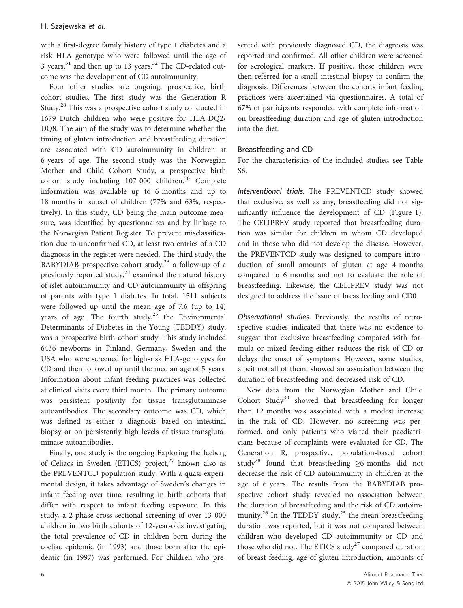with a first-degree family history of type 1 diabetes and a risk HLA genotype who were followed until the age of 3 years, $31$  and then up to 13 years. $32$  The CD-related outcome was the development of CD autoimmunity.

Four other studies are ongoing, prospective, birth cohort studies. The first study was the Generation R Study.<sup>28</sup> This was a prospective cohort study conducted in 1679 Dutch children who were positive for HLA-DQ2/ DQ8. The aim of the study was to determine whether the timing of gluten introduction and breastfeeding duration are associated with CD autoimmunity in children at 6 years of age. The second study was the Norwegian Mother and Child Cohort Study, a prospective birth cohort study including 107 000 children.<sup>30</sup> Complete information was available up to 6 months and up to 18 months in subset of children (77% and 63%, respectively). In this study, CD being the main outcome measure, was identified by questionnaires and by linkage to the Norwegian Patient Register. To prevent misclassification due to unconfirmed CD, at least two entries of a CD diagnosis in the register were needed. The third study, the BABYDIAB prospective cohort study,<sup>26</sup> a follow-up of a previously reported study, $24$  examined the natural history of islet autoimmunity and CD autoimmunity in offspring of parents with type 1 diabetes. In total, 1511 subjects were followed up until the mean age of 7.6 (up to 14) years of age. The fourth study,  $25$  the Environmental Determinants of Diabetes in the Young (TEDDY) study, was a prospective birth cohort study. This study included 6436 newborns in Finland, Germany, Sweden and the USA who were screened for high-risk HLA-genotypes for CD and then followed up until the median age of 5 years. Information about infant feeding practices was collected at clinical visits every third month. The primary outcome was persistent positivity for tissue transglutaminase autoantibodies. The secondary outcome was CD, which was defined as either a diagnosis based on intestinal biopsy or on persistently high levels of tissue transglutaminase autoantibodies.

Finally, one study is the ongoing Exploring the Iceberg of Celiacs in Sweden (ETICS) project, $27$  known also as the PREVENTCD population study. With a quasi-experimental design, it takes advantage of Sweden's changes in infant feeding over time, resulting in birth cohorts that differ with respect to infant feeding exposure. In this study, a 2-phase cross-sectional screening of over 13 000 children in two birth cohorts of 12-year-olds investigating the total prevalence of CD in children born during the coeliac epidemic (in 1993) and those born after the epidemic (in 1997) was performed. For children who presented with previously diagnosed CD, the diagnosis was reported and confirmed. All other children were screened for serological markers. If positive, these children were then referred for a small intestinal biopsy to confirm the diagnosis. Differences between the cohorts infant feeding practices were ascertained via questionnaires. A total of 67% of participants responded with complete information on breastfeeding duration and age of gluten introduction into the diet.

### Breastfeeding and CD

For the characteristics of the included studies, see Table S6.

Interventional trials. The PREVENTCD study showed that exclusive, as well as any, breastfeeding did not significantly influence the development of CD (Figure 1). The CELIPREV study reported that breastfeeding duration was similar for children in whom CD developed and in those who did not develop the disease. However, the PREVENTCD study was designed to compare introduction of small amounts of gluten at age 4 months compared to 6 months and not to evaluate the role of breastfeeding. Likewise, the CELIPREV study was not designed to address the issue of breastfeeding and CD0.

Observational studies. Previously, the results of retrospective studies indicated that there was no evidence to suggest that exclusive breastfeeding compared with formula or mixed feeding either reduces the risk of CD or delays the onset of symptoms. However, some studies, albeit not all of them, showed an association between the duration of breastfeeding and decreased risk of CD.

New data from the Norwegian Mother and Child Cohort Study<sup>30</sup> showed that breastfeeding for longer than 12 months was associated with a modest increase in the risk of CD. However, no screening was performed, and only patients who visited their paediatricians because of complaints were evaluated for CD. The Generation R, prospective, population-based cohort study<sup>28</sup> found that breastfeeding  $\geq$ 6 months did not decrease the risk of CD autoimmunity in children at the age of 6 years. The results from the BABYDIAB prospective cohort study revealed no association between the duration of breastfeeding and the risk of CD autoimmunity.<sup>26</sup> In the TEDDY study,<sup>25</sup> the mean breastfeeding duration was reported, but it was not compared between children who developed CD autoimmunity or CD and those who did not. The ETICS study<sup>27</sup> compared duration of breast feeding, age of gluten introduction, amounts of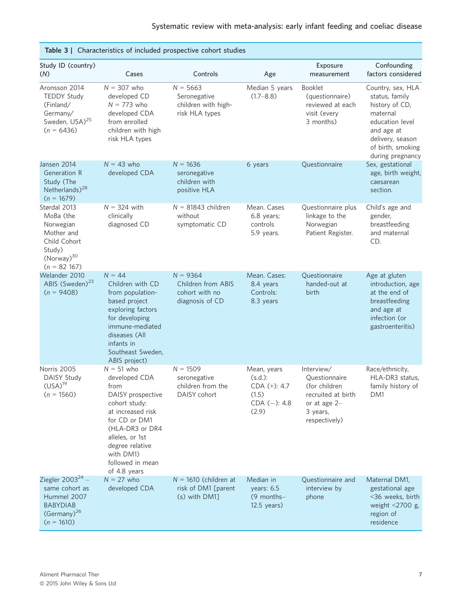| Table 3   Characteristics of included prospective cohort studies                                                    |                                                                                                                                                                                                                             |                                                                       |                                                                                 |                                                                                                                   |                                                                                                                                                                 |  |  |  |  |
|---------------------------------------------------------------------------------------------------------------------|-----------------------------------------------------------------------------------------------------------------------------------------------------------------------------------------------------------------------------|-----------------------------------------------------------------------|---------------------------------------------------------------------------------|-------------------------------------------------------------------------------------------------------------------|-----------------------------------------------------------------------------------------------------------------------------------------------------------------|--|--|--|--|
| Study ID (country)<br>(N)                                                                                           | Cases                                                                                                                                                                                                                       | Controls                                                              | Age                                                                             | Exposure<br>measurement                                                                                           | Confounding<br>factors considered                                                                                                                               |  |  |  |  |
| Aronsson 2014<br><b>TEDDY Study</b><br>(Finland/<br>Germany/<br>Sweden, USA) <sup>25</sup><br>$(n = 6436)$          | $N = 307$ who<br>developed CD<br>$N = 773$ who<br>developed CDA<br>from enrolled<br>children with high<br>risk HLA types                                                                                                    | $N = 5663$<br>Seronegative<br>children with high-<br>risk HLA types   | Median 5 years<br>$(1.7 - 8.8)$                                                 | <b>Booklet</b><br>(questionnaire)<br>reviewed at each<br>visit (every<br>3 months)                                | Country, sex, HLA<br>status, family<br>history of CD,<br>maternal<br>education level<br>and age at<br>delivery, season<br>of birth, smoking<br>during pregnancy |  |  |  |  |
| Jansen 2014<br>Generation R<br>Study (The<br>Netherlands) <sup>28</sup><br>$(n = 1679)$                             | $N = 43$ who<br>developed CDA                                                                                                                                                                                               | $N = 1636$<br>seronegative<br>children with<br>positive HLA           | 6 years                                                                         | Questionnaire                                                                                                     | Sex, gestational<br>age, birth weight,<br>caesarean<br>section.                                                                                                 |  |  |  |  |
| Størdal 2013<br>MoBa (the<br>Norwegian<br>Mother and<br>Child Cohort<br>Study)<br>$(Norway)^{30}$<br>$(n = 82 167)$ | $N = 324$ with<br>clinically<br>diagnosed CD                                                                                                                                                                                | $N = 81843$ children<br>without<br>symptomatic CD                     | Mean. Cases<br>6.8 years;<br>controls<br>5.9 years.                             | Questionnaire plus<br>linkage to the<br>Norwegian<br>Patient Register.                                            | Child's age and<br>gender,<br>breastfeeding<br>and maternal<br>CD.                                                                                              |  |  |  |  |
| Welander 2010<br>ABIS (Sweden) <sup>23</sup><br>$(n = 9408)$                                                        | $N = 44$<br>Children with CD<br>from population-<br>based project<br>exploring factors<br>for developing<br>immune-mediated<br>diseases (All<br>infants in<br>Southeast Sweden,<br>ABIS project)                            | $N = 9364$<br>Children from ABIS<br>cohort with no<br>diagnosis of CD | Mean. Cases:<br>8.4 years<br>Controls:<br>8.3 years                             | Questionnaire<br>handed-out at<br>birth                                                                           | Age at gluten<br>introduction, age<br>at the end of<br>breastfeeding<br>and age at<br>infection (or<br>gastroenteritis)                                         |  |  |  |  |
| Norris 2005<br>DAISY Study<br>(USA) <sup>19</sup><br>$(n = 1560)$                                                   | $N = 51$ who<br>developed CDA<br>from<br>DAISY prospective<br>cohort study:<br>at increased risk<br>for CD or DM1<br>(HLA-DR3 or DR4<br>alleles, or 1st<br>degree relative<br>with DM1)<br>followed in mean<br>of 4.8 years | $N = 1509$<br>seronegative<br>children from the<br>DAISY cohort       | Mean, years<br>$(s.d.)$ :<br>$CDA (+): 4.7$<br>(1.5)<br>$CDA (-): 4.8$<br>(2.9) | Interview/<br>Questionnaire<br>(for children<br>recruited at birth<br>or at age $2-$<br>3 years,<br>respectively) | Race/ethnicity,<br>HLA-DR3 status,<br>family history of<br>DM1                                                                                                  |  |  |  |  |
| Ziegler 2003 $^{24}$ –<br>same cohort as<br>Hummel 2007<br><b>BABYDIAB</b><br>$(Germany)^{26}$<br>$(n = 1610)$      | $N = 27$ who<br>developed CDA                                                                                                                                                                                               | $N = 1610$ (children at<br>risk of DM1 [parent<br>(s) with DM1]       | Median in<br>years: 6.5<br>(9 months-<br>$12.5$ years)                          | Questionnaire and<br>interview by<br>phone                                                                        | Maternal DM1,<br>gestational age<br><36 weeks, birth<br>weight $\leq$ 2700 g,<br>region of<br>residence                                                         |  |  |  |  |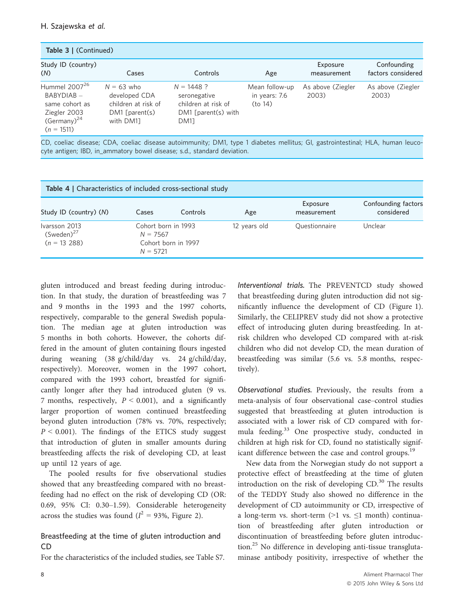| <b>Table 3   (Continued)</b>                                                                                    |                                                                                       |                                                                                             |                                            |                            |                                   |  |  |  |  |  |
|-----------------------------------------------------------------------------------------------------------------|---------------------------------------------------------------------------------------|---------------------------------------------------------------------------------------------|--------------------------------------------|----------------------------|-----------------------------------|--|--|--|--|--|
| Study ID (country)<br>(N)                                                                                       | Cases                                                                                 | Controls                                                                                    | Age                                        | Exposure<br>measurement    | Confounding<br>factors considered |  |  |  |  |  |
| Hummel 2007 <sup>26</sup><br>$BABYDIAB -$<br>same cohort as<br>Ziegler 2003<br>$(Germany)^{24}$<br>$(n = 1511)$ | $N = 63$ who<br>developed CDA<br>children at risk of<br>$DM1$ [parent(s)<br>with DM11 | $N = 1448$ ?<br>seronegative<br>children at risk of<br>$DM1$ [parent(s) with<br><b>DM11</b> | Mean follow-up<br>in years: 7.6<br>(to 14) | As above (Ziegler<br>2003) | As above (Ziegler<br>2003)        |  |  |  |  |  |

|  |  |  |                                                                         |  |  | CD, coeliac disease; CDA, coeliac disease autoimmunity; DM1, type 1 diabetes mellitus; GI, gastrointestinal; HLA, human leuco- |  |  |
|--|--|--|-------------------------------------------------------------------------|--|--|--------------------------------------------------------------------------------------------------------------------------------|--|--|
|  |  |  | cyte antigen; IBD, in_ammatory bowel disease; s.d., standard deviation. |  |  |                                                                                                                                |  |  |

| <b>Table 4   Characteristics of included cross-sectional study</b> |                                                 |                     |              |                         |                                   |  |  |  |  |  |
|--------------------------------------------------------------------|-------------------------------------------------|---------------------|--------------|-------------------------|-----------------------------------|--|--|--|--|--|
| Study ID (country) (N)                                             | Cases                                           | Controls            | Age          | Exposure<br>measurement | Confounding factors<br>considered |  |  |  |  |  |
| Ivarsson 2013<br>$(Sweden)^{27}$<br>$(n = 13, 288)$                | Cohort born in 1993<br>$N = 7567$<br>$N = 5721$ | Cohort born in 1997 | 12 years old | Questionnaire           | Unclear                           |  |  |  |  |  |

gluten introduced and breast feeding during introduction. In that study, the duration of breastfeeding was 7 and 9 months in the 1993 and the 1997 cohorts, respectively, comparable to the general Swedish population. The median age at gluten introduction was 5 months in both cohorts. However, the cohorts differed in the amount of gluten containing flours ingested during weaning (38 g/child/day vs. 24 g/child/day, respectively). Moreover, women in the 1997 cohort, compared with the 1993 cohort, breastfed for significantly longer after they had introduced gluten (9 vs. 7 months, respectively,  $P < 0.001$ ), and a significantly larger proportion of women continued breastfeeding beyond gluten introduction (78% vs. 70%, respectively;  $P < 0.001$ ). The findings of the ETICS study suggest that introduction of gluten in smaller amounts during breastfeeding affects the risk of developing CD, at least up until 12 years of age.

The pooled results for five observational studies showed that any breastfeeding compared with no breastfeeding had no effect on the risk of developing CD (OR: 0.69, 95% CI: 0.30–1.59). Considerable heterogeneity across the studies was found ( $I^2 = 93\%$ , Figure 2).

# Breastfeeding at the time of gluten introduction and CD

For the characteristics of the included studies, see Table S7.

Interventional trials. The PREVENTCD study showed that breastfeeding during gluten introduction did not significantly influence the development of CD (Figure 1). Similarly, the CELIPREV study did not show a protective effect of introducing gluten during breastfeeding. In atrisk children who developed CD compared with at-risk children who did not develop CD, the mean duration of breastfeeding was similar (5.6 vs. 5.8 months, respectively).

Observational studies. Previously, the results from a meta-analysis of four observational case–control studies suggested that breastfeeding at gluten introduction is associated with a lower risk of CD compared with formula feeding.<sup>33</sup> One prospective study, conducted in children at high risk for CD, found no statistically significant difference between the case and control groups.<sup>19</sup>

New data from the Norwegian study do not support a protective effect of breastfeeding at the time of gluten introduction on the risk of developing  $CD$ .<sup>30</sup> The results of the TEDDY Study also showed no difference in the development of CD autoimmunity or CD, irrespective of a long-term vs. short-term  $(>1$  vs.  $\leq 1$  month) continuation of breastfeeding after gluten introduction or discontinuation of breastfeeding before gluten introduction.<sup>25</sup> No difference in developing anti-tissue transglutaminase antibody positivity, irrespective of whether the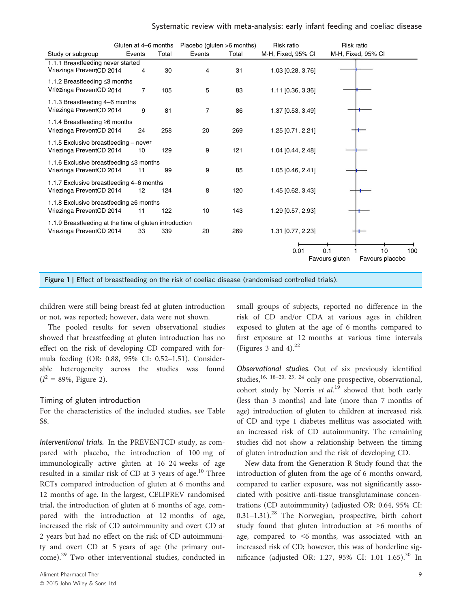|                                                                                    | Gluten at 4–6 months |       |        | Placebo (gluten >6 months) | Risk ratio         | Risk ratio                                     |     |
|------------------------------------------------------------------------------------|----------------------|-------|--------|----------------------------|--------------------|------------------------------------------------|-----|
| Study or subgroup                                                                  | Events               | Total | Events | Total                      | M-H, Fixed, 95% CI | M-H, Fixed, 95% CI                             |     |
| 1.1.1 Breastfeeding never started<br>Vriezinga PreventCD 2014                      | 4                    | 30    | 4      | 31                         | 1.03 [0.28, 3.76]  |                                                |     |
| 1.1.2 Breastfeeding $\leq$ 3 months<br>Vriezinga PreventCD 2014                    | 7                    | 105   | 5      | 83                         | 1.11 [0.36, 3.36]  |                                                |     |
| 1.1.3 Breastfeeding 4–6 months<br>Vriezinga PreventCD 2014                         | 9                    | 81    | 7      | 86                         | 1.37 [0.53, 3.49]  |                                                |     |
| 1.1.4 Breastfeeding $\geq 6$ months<br>Vriezinga PreventCD 2014                    | 24                   | 258   | 20     | 269                        | 1.25 [0.71, 2.21]  |                                                |     |
| 1.1.5 Exclusive breastfeeding - never<br>Vriezinga PreventCD 2014                  | 10                   | 129   | 9      | 121                        | 1.04 [0.44, 2.48]  |                                                |     |
| 1.1.6 Exclusive breastfeeding ≤3 months<br>Vriezinga PreventCD 2014                | 11                   | 99    | 9      | 85                         | 1.05 [0.46, 2.41]  |                                                |     |
| 1.1.7 Exclusive breastfeeding 4–6 months<br>Vriezinga PreventCD 2014               | 12                   | 124   | 8      | 120                        | 1.45 [0.62, 3.43]  |                                                |     |
| 1.1.8 Exclusive breastfeeding $\geq 6$ months<br>Vriezinga PreventCD 2014          | 11                   | 122   | 10     | 143                        | 1.29 [0.57, 2.93]  |                                                |     |
| 1.1.9 Breastfeeding at the time of gluten introduction<br>Vriezinga PreventCD 2014 | 33                   | 339   | 20     | 269                        | 1.31 [0.77, 2.23]  |                                                |     |
|                                                                                    |                      |       |        |                            | 0.01               | 0.1<br>10<br>Favours gluten<br>Favours placebo | 100 |

Figure 1 | Effect of breastfeeding on the risk of coeliac disease (randomised controlled trials).

children were still being breast-fed at gluten introduction or not, was reported; however, data were not shown.

The pooled results for seven observational studies showed that breastfeeding at gluten introduction has no effect on the risk of developing CD compared with formula feeding (OR: 0.88, 95% CI: 0.52–1.51). Considerable heterogeneity across the studies was found  $(I^2 = 89\%, \text{ Figure 2}).$ 

### Timing of gluten introduction

For the characteristics of the included studies, see Table S8.

Interventional trials. In the PREVENTCD study, as compared with placebo, the introduction of 100 mg of immunologically active gluten at 16–24 weeks of age resulted in a similar risk of CD at 3 years of age.<sup>10</sup> Three RCTs compared introduction of gluten at 6 months and 12 months of age. In the largest, CELIPREV randomised trial, the introduction of gluten at 6 months of age, compared with the introduction at 12 months of age, increased the risk of CD autoimmunity and overt CD at 2 years but had no effect on the risk of CD autoimmunity and overt CD at 5 years of age (the primary outcome).<sup>29</sup> Two other interventional studies, conducted in

small groups of subjects, reported no difference in the risk of CD and/or CDA at various ages in children exposed to gluten at the age of 6 months compared to first exposure at 12 months at various time intervals (Figures 3 and 4). $^{22}$ 

Observational studies. Out of six previously identified studies,<sup>16, 18–20, 23, 24</sup> only one prospective, observational, cohort study by Norris et  $al^{19}$  showed that both early (less than 3 months) and late (more than 7 months of age) introduction of gluten to children at increased risk of CD and type 1 diabetes mellitus was associated with an increased risk of CD autoimmunity. The remaining studies did not show a relationship between the timing of gluten introduction and the risk of developing CD.

New data from the Generation R Study found that the introduction of gluten from the age of 6 months onward, compared to earlier exposure, was not significantly associated with positive anti-tissue transglutaminase concentrations (CD autoimmunity) (adjusted OR: 0.64, 95% CI:  $0.31-1.31$ .<sup>28</sup> The Norwegian, prospective, birth cohort study found that gluten introduction at >6 months of age, compared to <6 months, was associated with an increased risk of CD; however, this was of borderline significance (adjusted OR: 1.27, 95% CI: 1.01–1.65).<sup>30</sup> In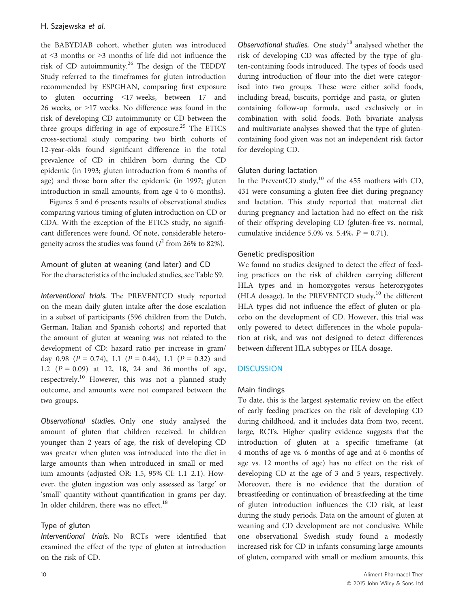the BABYDIAB cohort, whether gluten was introduced at <3 months or >3 months of life did not influence the risk of CD autoimmunity.<sup>26</sup> The design of the TEDDY Study referred to the timeframes for gluten introduction recommended by ESPGHAN, comparing first exposure to gluten occurring <17 weeks, between 17 and 26 weeks, or >17 weeks. No difference was found in the risk of developing CD autoimmunity or CD between the three groups differing in age of exposure.<sup>25</sup> The ETICS cross-sectional study comparing two birth cohorts of 12-year-olds found significant difference in the total prevalence of CD in children born during the CD epidemic (in 1993; gluten introduction from 6 months of age) and those born after the epidemic (in 1997; gluten introduction in small amounts, from age 4 to 6 months).

Figures 5 and 6 presents results of observational studies comparing various timing of gluten introduction on CD or CDA. With the exception of the ETICS study, no significant differences were found. Of note, considerable heterogeneity across the studies was found ( $I^2$  from 26% to 82%).

Amount of gluten at weaning (and later) and CD For the characteristics of the included studies, see Table S9.

Interventional trials. The PREVENTCD study reported on the mean daily gluten intake after the dose escalation in a subset of participants (596 children from the Dutch, German, Italian and Spanish cohorts) and reported that the amount of gluten at weaning was not related to the development of CD: hazard ratio per increase in gram/ day 0.98 ( $P = 0.74$ ), 1.1 ( $P = 0.44$ ), 1.1 ( $P = 0.32$ ) and 1.2  $(P = 0.09)$  at 12, 18, 24 and 36 months of age, respectively.<sup>10</sup> However, this was not a planned study outcome, and amounts were not compared between the two groups.

Observational studies. Only one study analysed the amount of gluten that children received. In children younger than 2 years of age, the risk of developing CD was greater when gluten was introduced into the diet in large amounts than when introduced in small or medium amounts (adjusted OR: 1.5, 95% CI: 1.1–2.1). However, the gluten ingestion was only assessed as 'large' or 'small' quantity without quantification in grams per day. In older children, there was no effect. $18$ 

## Type of gluten

Interventional trials. No RCTs were identified that examined the effect of the type of gluten at introduction on the risk of CD.

Observational studies. One study<sup>18</sup> analysed whether the risk of developing CD was affected by the type of gluten-containing foods introduced. The types of foods used during introduction of flour into the diet were categorised into two groups. These were either solid foods, including bread, biscuits, porridge and pasta, or glutencontaining follow-up formula, used exclusively or in combination with solid foods. Both bivariate analysis and multivariate analyses showed that the type of glutencontaining food given was not an independent risk factor for developing CD.

## Gluten during lactation

In the PreventCD study, $^{10}$  of the 455 mothers with CD, 431 were consuming a gluten-free diet during pregnancy and lactation. This study reported that maternal diet during pregnancy and lactation had no effect on the risk of their offspring developing CD (gluten-free vs. normal, cumulative incidence 5.0% vs. 5.4%,  $P = 0.71$ ).

## Genetic predisposition

We found no studies designed to detect the effect of feeding practices on the risk of children carrying different HLA types and in homozygotes versus heterozygotes (HLA dosage). In the PREVENTCD study,<sup>10</sup> the different HLA types did not influence the effect of gluten or placebo on the development of CD. However, this trial was only powered to detect differences in the whole population at risk, and was not designed to detect differences between different HLA subtypes or HLA dosage.

## **DISCUSSION**

## Main findings

To date, this is the largest systematic review on the effect of early feeding practices on the risk of developing CD during childhood, and it includes data from two, recent, large, RCTs. Higher quality evidence suggests that the introduction of gluten at a specific timeframe (at 4 months of age vs. 6 months of age and at 6 months of age vs. 12 months of age) has no effect on the risk of developing CD at the age of 3 and 5 years, respectively. Moreover, there is no evidence that the duration of breastfeeding or continuation of breastfeeding at the time of gluten introduction influences the CD risk, at least during the study periods. Data on the amount of gluten at weaning and CD development are not conclusive. While one observational Swedish study found a modestly increased risk for CD in infants consuming large amounts of gluten, compared with small or medium amounts, this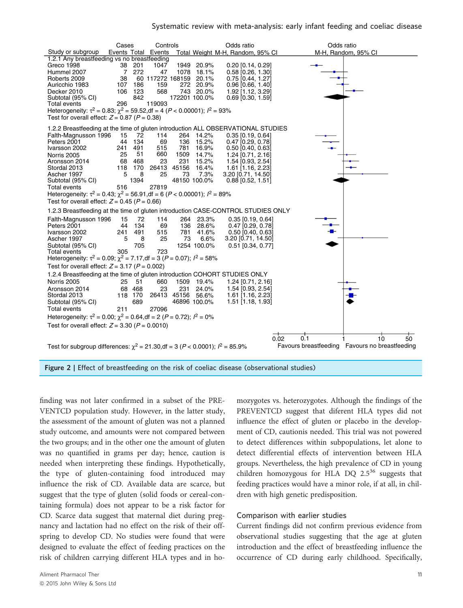



finding was not later confirmed in a subset of the PRE-VENTCD population study. However, in the latter study, the assessment of the amount of gluten was not a planned study outcome, and amounts were not compared between the two groups; and in the other one the amount of gluten was no quantified in grams per day; hence, caution is needed when interpreting these findings. Hypothetically, the type of gluten-containing food introduced may influence the risk of CD. Available data are scarce, but suggest that the type of gluten (solid foods or cereal-containing formula) does not appear to be a risk factor for CD. Scarce data suggest that maternal diet during pregnancy and lactation had no effect on the risk of their offspring to develop CD. No studies were found that were designed to evaluate the effect of feeding practices on the risk of children carrying different HLA types and in ho-

mozygotes vs. heterozygotes. Although the findings of the PREVENTCD suggest that diferent HLA types did not influence the effect of gluten or placebo in the development of CD, cautionis needed. This trial was not powered to detect differences within subpopulations, let alone to detect differential effects of intervention between HLA groups. Nevertheless, the high prevalence of CD in young children homozygous for HLA DQ  $2.5^{36}$  suggests that feeding practices would have a minor role, if at all, in children with high genetic predisposition.

### Comparison with earlier studies

Current findings did not confirm previous evidence from observational studies suggesting that the age at gluten introduction and the effect of breastfeeding influence the occurrence of CD during early childhood. Specifically,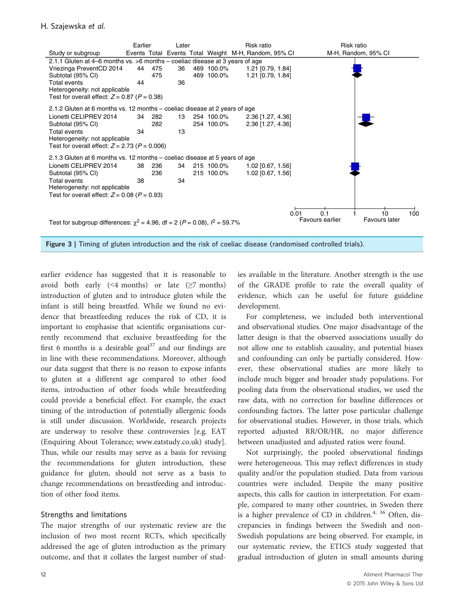

Figure 3 | Timing of gluten introduction and the risk of coeliac disease (randomised controlled trials).

earlier evidence has suggested that it is reasonable to avoid both early  $(\leq 4$  months) or late  $(\geq 7$  months) introduction of gluten and to introduce gluten while the infant is still being breastfed. While we found no evidence that breastfeeding reduces the risk of CD, it is important to emphasise that scientific organisations currently recommend that exclusive breastfeeding for the first 6 months is a desirable goal $37$  and our findings are in line with these recommendations. Moreover, although our data suggest that there is no reason to expose infants to gluten at a different age compared to other food items, introduction of other foods while breastfeeding could provide a beneficial effect. For example, the exact timing of the introduction of potentially allergenic foods is still under discussion. Worldwide, research projects are underway to resolve these controversies [e.g. EAT (Enquiring About Tolerance; [www.eatstudy.co.uk](http://www.eatstudy.co.uk)) study]. Thus, while our results may serve as a basis for revising the recommendations for gluten introduction, these guidance for gluten, should not serve as a basis to change recommendations on breastfeeding and introduction of other food items.

### Strengths and limitations

The major strengths of our systematic review are the inclusion of two most recent RCTs, which specifically addressed the age of gluten introduction as the primary outcome, and that it collates the largest number of studies available in the literature. Another strength is the use of the GRADE profile to rate the overall quality of evidence, which can be useful for future guideline development.

For completeness, we included both interventional and observational studies. One major disadvantage of the latter design is that the observed associations usually do not allow one to establish causality, and potential biases and confounding can only be partially considered. However, these observational studies are more likely to include much bigger and broader study populations. For pooling data from the observational studies, we used the raw data, with no correction for baseline differences or confounding factors. The latter pose particular challenge for observational studies. However, in those trials, which reported adjusted RR/OR/HR, no major difference between unadjusted and adjusted ratios were found.

Not surprisingly, the pooled observational findings were heterogeneous. This may reflect differences in study quality and/or the population studied. Data from various countries were included. Despite the many positive aspects, this calls for caution in interpretation. For example, compared to many other countries, in Sweden there is a higher prevalence of CD in children. $4, 36$  Often, discrepancies in findings between the Swedish and non-Swedish populations are being observed. For example, in our systematic review, the ETICS study suggested that gradual introduction of gluten in small amounts during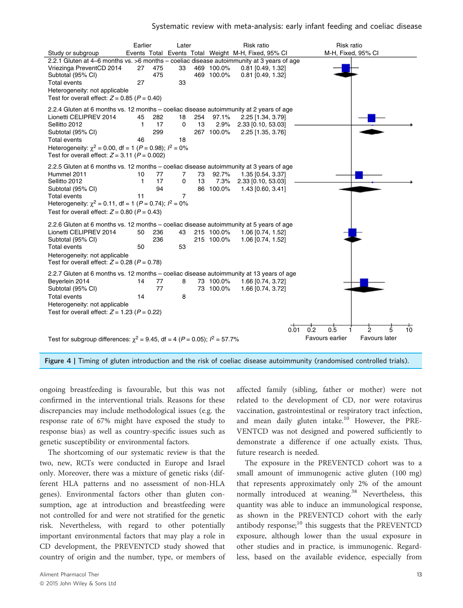

Figure 4 | Timing of gluten introduction and the risk of coeliac disease autoimmunity (randomised controlled trials).

ongoing breastfeeding is favourable, but this was not confirmed in the interventional trials. Reasons for these discrepancies may include methodological issues (e.g. the response rate of 67% might have exposed the study to response bias) as well as country-specific issues such as genetic susceptibility or environmental factors.

The shortcoming of our systematic review is that the two, new, RCTs were conducted in Europe and Israel only. Moreover, there was a mixture of genetic risks (different HLA patterns and no assessment of non-HLA genes). Environmental factors other than gluten consumption, age at introduction and breastfeeding were not controlled for and were not stratified for the genetic risk. Nevertheless, with regard to other potentially important environmental factors that may play a role in CD development, the PREVENTCD study showed that country of origin and the number, type, or members of affected family (sibling, father or mother) were not related to the development of CD, nor were rotavirus vaccination, gastrointestinal or respiratory tract infection, and mean daily gluten intake.<sup>10</sup> However, the PRE-VENTCD was not designed and powered sufficiently to demonstrate a difference if one actually exists. Thus, future research is needed.

The exposure in the PREVENTCD cohort was to a small amount of immunogenic active gluten (100 mg) that represents approximately only 2% of the amount normally introduced at weaning.<sup>38</sup> Nevertheless, this quantity was able to induce an immunological response, as shown in the PREVENTCD cohort with the early antibody response; $10$  this suggests that the PREVENTCD exposure, although lower than the usual exposure in other studies and in practice, is immunogenic. Regardless, based on the available evidence, especially from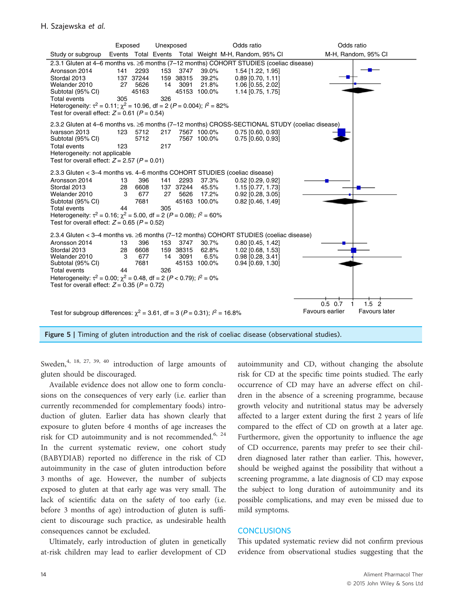

Figure 5 | Timing of gluten introduction and the risk of coeliac disease (observational studies).

Sweden,<sup>4, 18, 27, 39, 40</sup> introduction of large amounts of gluten should be discouraged.

Available evidence does not allow one to form conclusions on the consequences of very early (i.e. earlier than currently recommended for complementary foods) introduction of gluten. Earlier data has shown clearly that exposure to gluten before 4 months of age increases the risk for CD autoimmunity and is not recommended.<sup>6, 24</sup> In the current systematic review, one cohort study (BABYDIAB) reported no difference in the risk of CD autoimmunity in the case of gluten introduction before 3 months of age. However, the number of subjects exposed to gluten at that early age was very small. The lack of scientific data on the safety of too early (i.e. before 3 months of age) introduction of gluten is sufficient to discourage such practice, as undesirable health consequences cannot be excluded.

Ultimately, early introduction of gluten in genetically at-risk children may lead to earlier development of CD autoimmunity and CD, without changing the absolute risk for CD at the specific time points studied. The early occurrence of CD may have an adverse effect on children in the absence of a screening programme, because growth velocity and nutritional status may be adversely affected to a larger extent during the first 2 years of life compared to the effect of CD on growth at a later age. Furthermore, given the opportunity to influence the age of CD occurrence, parents may prefer to see their children diagnosed later rather than earlier. This, however, should be weighed against the possibility that without a screening programme, a late diagnosis of CD may expose the subject to long duration of autoimmunity and its possible complications, and may even be missed due to mild symptoms.

#### **CONCLUSIONS**

This updated systematic review did not confirm previous evidence from observational studies suggesting that the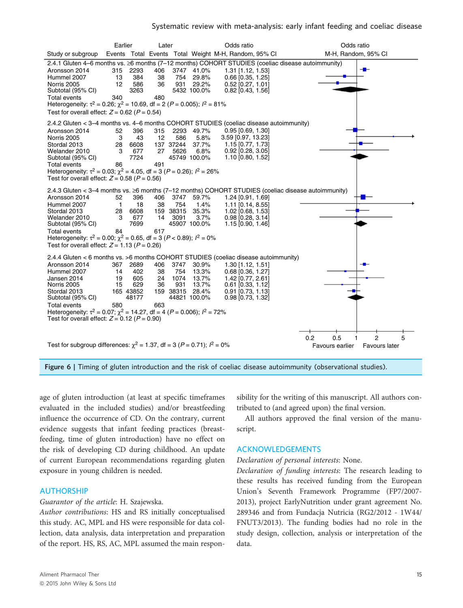



age of gluten introduction (at least at specific timeframes evaluated in the included studies) and/or breastfeeding influence the occurrence of CD. On the contrary, current evidence suggests that infant feeding practices (breastfeeding, time of gluten introduction) have no effect on the risk of developing CD during childhood. An update of current European recommendations regarding gluten exposure in young children is needed.

### AUTHORSHIP

#### Guarantor of the article: H. Szajewska.

Author contributions: HS and RS initially conceptualised this study. AC, MPL and HS were responsible for data collection, data analysis, data interpretation and preparation of the report. HS, RS, AC, MPL assumed the main respon-

sibility for the writing of this manuscript. All authors contributed to (and agreed upon) the final version.

All authors approved the final version of the manuscript.

### ACKNOWLEDGEMENTS

#### Declaration of personal interests: None.

Declaration of funding interests: The research leading to these results has received funding from the European Union's Seventh Framework Programme (FP7/2007- 2013), project EarlyNutrition under grant agreement No. 289346 and from Fundacja Nutricia (RG2/2012 - 1W44/ FNUT3/2013). The funding bodies had no role in the study design, collection, analysis or interpretation of the data.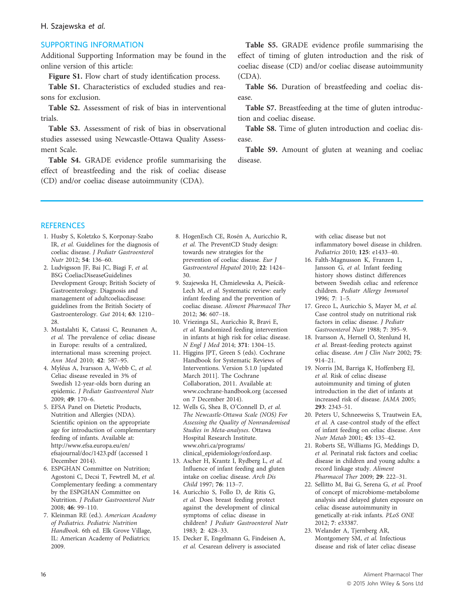### H. Szajewska et al.

### SUPPORTING INFORMATION

Additional Supporting Information may be found in the online version of this article:

Figure S1. Flow chart of study identification process.

Table S1. Characteristics of excluded studies and reasons for exclusion.

Table S2. Assessment of risk of bias in interventional trials.

Table S3. Assessment of risk of bias in observational studies assessed using Newcastle-Ottawa Quality Assessment Scale.

Table S4. GRADE evidence profile summarising the effect of breastfeeding and the risk of coeliac disease (CD) and/or coeliac disease autoimmunity (CDA).

Table S5. GRADE evidence profile summarising the effect of timing of gluten introduction and the risk of coeliac disease (CD) and/or coeliac disease autoimmunity (CDA).

Table S6. Duration of breastfeeding and coeliac disease.

Table S7. Breastfeeding at the time of gluten introduction and coeliac disease.

Table S8. Time of gluten introduction and coeliac disease.

Table S9. Amount of gluten at weaning and coeliac disease.

#### **REFERENCES**

- 1. Husby S, Koletzko S, Korponay-Szabo IR, et al. Guidelines for the diagnosis of coeliac disease. J Pediatr Gastroenterol Nutr 2012; 54: 136–60.
- 2. Ludvigsson JF, Bai JC, Biagi F, et al. BSG CoeliacDiseaseGuidelines Development Group; British Society of Gastroenterology. Diagnosis and management of adultcoeliacdisease: guidelines from the British Society of Gastroenterology. Gut 2014; 63: 1210– 28.
- 3. Mustalahti K, Catassi C, Reunanen A, et al. The prevalence of celiac disease in Europe: results of a centralized, international mass screening project. Ann Med 2010; 42: 587–95.
- 4. Myleus A, Ivarsson A, Webb C, et al. Celiac disease revealed in 3% of Swedish 12-year-olds born during an epidemic. J Pediatr Gastroenterol Nutr<br>2009: 49: 170-6.
- 2009; 49: 170–6. 5. EFSA Panel on Dietetic Products, Nutrition and Allergies (NDA). Scientific opinion on the appropriate age for introduction of complementary feeding of infants. Available at: [http://www.efsa.europa.eu/en/](http://www.efsa.europa.eu/en/efsajournal/doc/1423.pdf) [efsajournal/doc/1423.pdf](http://www.efsa.europa.eu/en/efsajournal/doc/1423.pdf) (accessed 1 December 2014).
- 6. ESPGHAN Committee on Nutrition; Agostoni C, Decsi T, Fewtrell M, et al. Complementary feeding: a commentary by the ESPGHAN Committee on Nutrition. J Pediatr Gastroenterol Nutr 2008; 46: 99–110.
- 7. Kleinman RE (ed.). American Academy of Pediatrics. Pediatric Nutrition Handbook. 6th ed. Elk Grove Village, IL: American Academy of Pediatrics; 2009.
- 8. HogenEsch CE, Rosén A, Auricchio R, et al. The PreventCD Study design: towards new strategies for the prevention of coeliac disease. Eur J Gastroenterol Hepatol 2010; 22: 1424– 30.
- 9. Szajewska H, Chmielewska A, Piescik-Lech M, et al. Systematic review: early infant feeding and the prevention of coeliac disease. Aliment Pharmacol Ther 2012; 36: 607–18.
- 10. Vriezinga SL, Auricchio R, Bravi E, et al. Randomized feeding intervention in infants at high risk for celiac disease. N Engl J Med 2014; 371: 1304–15.
- 11. Higgins JPT, Green S (eds). Cochrane Handbook for Systematic Reviews of Interventions. Version 5.1.0 [updated March 2011]. The Cochrane Collaboration, 2011. Available at: [www.cochrane-handbook.org](http://www.cochrane-handbook.org) (accessed on 7 December 2014).
- 12. Wells G, Shea B, O'Connell D, et al. The Newcastle-Ottawa Scale (NOS) For Assessing the Quality of Nonrandomised Studies in Meta-analyses. Ottawa Hospital Research Institute. [www.ohri.ca/programs/](http://www.ohri.ca/programs/clinical_epidemiology/oxford.asp) [clinical\\_epidemiology/oxford.asp.](http://www.ohri.ca/programs/clinical_epidemiology/oxford.asp)
- 13. Ascher H, Krantz I, Rydberg L, et al. Influence of infant feeding and gluten intake on coeliac disease. Arch Dis Child 1997; 76: 113–7.
- 14. Auricchio S, Follo D, de Ritis G, et al. Does breast feeding protect against the development of clinical symptoms of celiac disease in children? J Pediatr Gastroenterol Nutr 1983; 2: 428–33.
- 15. Decker E, Engelmann G, Findeisen A, et al. Cesarean delivery is associated

with celiac disease but not inflammatory bowel disease in children. Pediatrics 2010; 125: e1433–40.

- 16. Falth-Magnusson K, Franzen L, Jansson G, et al. Infant feeding history shows distinct differences between Swedish celiac and reference children. Pediatr Allergy Immunol 1996; 7: 1–5.
- 17. Greco L, Auricchio S, Mayer M, et al. Case control study on nutritional risk factors in celiac disease. J Pediatr Gastroenterol Nutr 1988; 7: 395–9.
- 18. Ivarsson A, Hernell O, Stenlund H, et al. Breast-feeding protects against celiac disease. Am J Clin Nutr 2002; 75: 914–21.
- 19. Norris JM, Barriga K, Hoffenberg EJ, et al. Risk of celiac disease autoimmunity and timing of gluten introduction in the diet of infants at increased risk of disease. JAMA 2005; 293: 2343–51.
- 20. Peters U, Schneeweiss S, Trautwein EA, et al. A case-control study of the effect of infant feeding on celiac disease. Ann Nutr Metab 2001; 45: 135–42.
- 21. Roberts SE, Williams JG, Meddings D, et al. Perinatal risk factors and coeliac disease in children and young adults: a record linkage study. Aliment Pharmacol Ther 2009; 29: 222–31.
- 22. Sellitto M, Bai G, Serena G, et al. Proof of concept of microbiome-metabolome analysis and delayed gluten exposure on celiac disease autoimmunity in genetically at-risk infants. PLoS ONE 2012; 7: e33387.
- 23. Welander A, Tjernberg AR, Montgomery SM, et al. Infectious disease and risk of later celiac disease